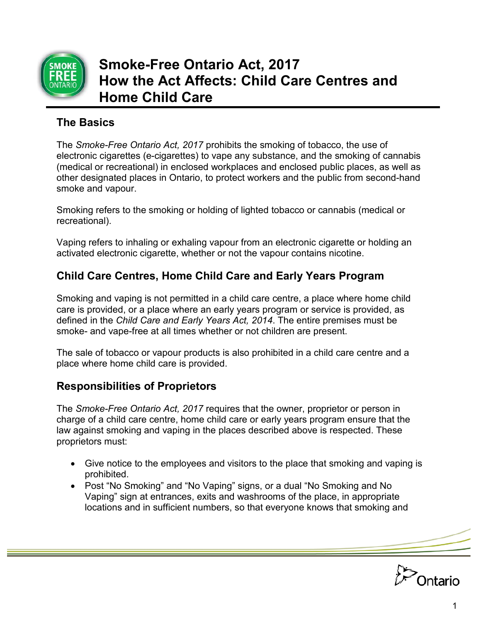

# **Smoke-Free Ontario Act, 2017 How the Act Affects: Child Care Centres and Home Child Care**

## **The Basics**

The *Smoke-Free Ontario Act, 2017* prohibits the smoking of tobacco, the use of electronic cigarettes (e-cigarettes) to vape any substance, and the smoking of cannabis (medical or recreational) in enclosed workplaces and enclosed public places, as well as other designated places in Ontario, to protect workers and the public from second-hand smoke and vapour.

Smoking refers to the smoking or holding of lighted tobacco or cannabis (medical or recreational).

Vaping refers to inhaling or exhaling vapour from an electronic cigarette or holding an activated electronic cigarette, whether or not the vapour contains nicotine.

## **Child Care Centres, Home Child Care and Early Years Program**

Smoking and vaping is not permitted in a child care centre, a place where home child care is provided, or a place where an early years program or service is provided, as defined in the *Child Care and Early Years Act, 2014*. The entire premises must be smoke- and vape-free at all times whether or not children are present.

The sale of tobacco or vapour products is also prohibited in a child care centre and a place where home child care is provided.

## **Responsibilities of Proprietors**

The *Smoke-Free Ontario Act, 2017* requires that the owner, proprietor or person in charge of a child care centre, home child care or early years program ensure that the law against smoking and vaping in the places described above is respected. These proprietors must:

- Give notice to the employees and visitors to the place that smoking and vaping is prohibited.
- Post "No Smoking" and "No Vaping" signs, or a dual "No Smoking and No Vaping" sign at entrances, exits and washrooms of the place, in appropriate locations and in sufficient numbers, so that everyone knows that smoking and

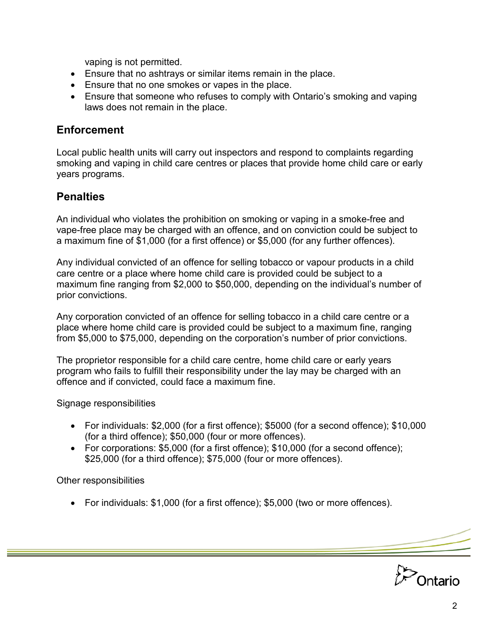vaping is not permitted.

- Ensure that no ashtrays or similar items remain in the place.
- Ensure that no one smokes or vapes in the place.
- Ensure that someone who refuses to comply with Ontario's smoking and vaping laws does not remain in the place.

#### **Enforcement**

Local public health units will carry out inspectors and respond to complaints regarding smoking and vaping in child care centres or places that provide home child care or early years programs.

#### **Penalties**

An individual who violates the prohibition on smoking or vaping in a smoke-free and vape-free place may be charged with an offence, and on conviction could be subject to a maximum fine of \$1,000 (for a first offence) or \$5,000 (for any further offences).

Any individual convicted of an offence for selling tobacco or vapour products in a child care centre or a place where home child care is provided could be subject to a maximum fine ranging from \$2,000 to \$50,000, depending on the individual's number of prior convictions.

Any corporation convicted of an offence for selling tobacco in a child care centre or a place where home child care is provided could be subject to a maximum fine, ranging from \$5,000 to \$75,000, depending on the corporation's number of prior convictions.

The proprietor responsible for a child care centre, home child care or early years program who fails to fulfill their responsibility under the lay may be charged with an offence and if convicted, could face a maximum fine.

Signage responsibilities

- For individuals: \$2,000 (for a first offence); \$5000 (for a second offence); \$10,000 (for a third offence); \$50,000 (four or more offences).
- For corporations: \$5,000 (for a first offence); \$10,000 (for a second offence); \$25,000 (for a third offence); \$75,000 (four or more offences).

Other responsibilities

• For individuals: \$1,000 (for a first offence); \$5,000 (two or more offences).